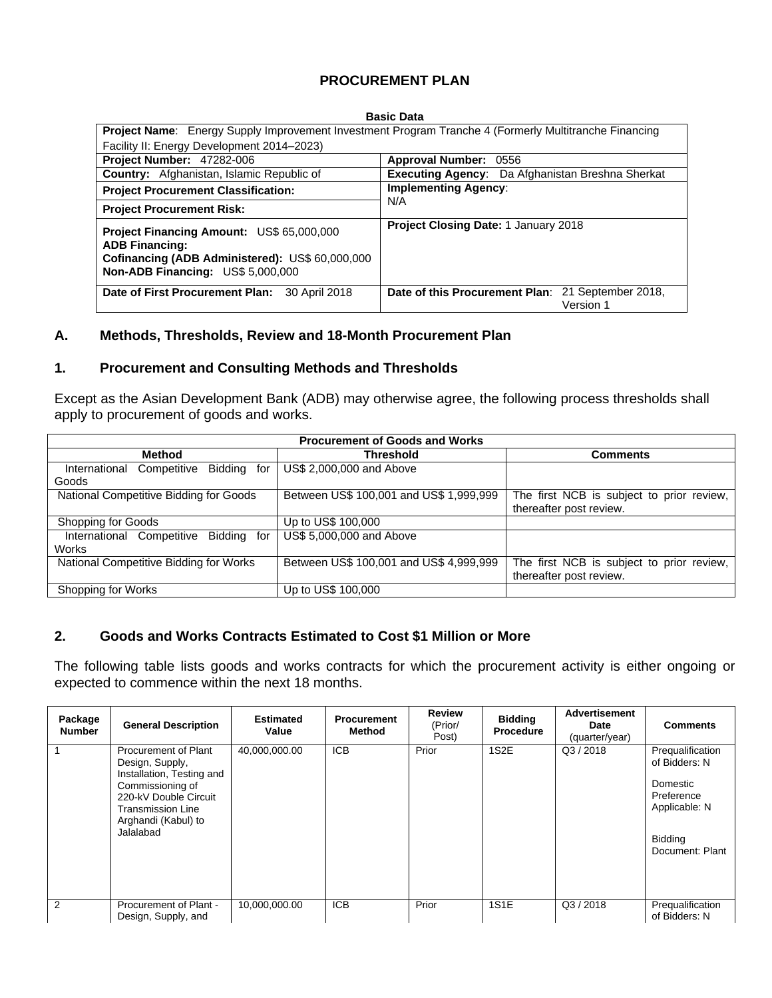## **PROCUREMENT PLAN**

#### **Basic Data**

| <b>Project Name:</b> Energy Supply Improvement Investment Program Tranche 4 (Formerly Multitranche Financing                                               |                                                                |  |  |  |  |  |  |  |
|------------------------------------------------------------------------------------------------------------------------------------------------------------|----------------------------------------------------------------|--|--|--|--|--|--|--|
| Facility II: Energy Development 2014–2023)                                                                                                                 |                                                                |  |  |  |  |  |  |  |
| <b>Project Number: 47282-006</b>                                                                                                                           | Approval Number: 0556                                          |  |  |  |  |  |  |  |
| Country: Afghanistan, Islamic Republic of                                                                                                                  | Executing Agency: Da Afghanistan Breshna Sherkat               |  |  |  |  |  |  |  |
| <b>Project Procurement Classification:</b>                                                                                                                 | <b>Implementing Agency:</b>                                    |  |  |  |  |  |  |  |
| <b>Project Procurement Risk:</b>                                                                                                                           | N/A                                                            |  |  |  |  |  |  |  |
| Project Financing Amount: US\$ 65,000,000<br><b>ADB Financing:</b><br>Cofinancing (ADB Administered): US\$ 60,000,000<br>Non-ADB Financing: US\$ 5,000,000 | <b>Project Closing Date: 1 January 2018</b>                    |  |  |  |  |  |  |  |
| Date of First Procurement Plan:<br>30 April 2018                                                                                                           | Date of this Procurement Plan: 21 September 2018,<br>Version 1 |  |  |  |  |  |  |  |

#### **A. Methods, Thresholds, Review and 18-Month Procurement Plan**

#### **1. Procurement and Consulting Methods and Thresholds**

Except as the Asian Development Bank (ADB) may otherwise agree, the following process thresholds shall apply to procurement of goods and works.

| <b>Procurement of Goods and Works</b>                 |                                         |                                           |  |  |  |  |  |  |  |  |
|-------------------------------------------------------|-----------------------------------------|-------------------------------------------|--|--|--|--|--|--|--|--|
| Method                                                | <b>Threshold</b>                        | <b>Comments</b>                           |  |  |  |  |  |  |  |  |
| <b>Bidding</b><br>International<br>Competitive<br>for | US\$ 2,000,000 and Above                |                                           |  |  |  |  |  |  |  |  |
| Goods                                                 |                                         |                                           |  |  |  |  |  |  |  |  |
| National Competitive Bidding for Goods                | Between US\$ 100,001 and US\$ 1,999,999 | The first NCB is subject to prior review, |  |  |  |  |  |  |  |  |
|                                                       |                                         | thereafter post review.                   |  |  |  |  |  |  |  |  |
| Shopping for Goods                                    | Up to US\$ 100,000                      |                                           |  |  |  |  |  |  |  |  |
| Bidding<br>International Competitive<br>for           | US\$ 5,000,000 and Above                |                                           |  |  |  |  |  |  |  |  |
| Works                                                 |                                         |                                           |  |  |  |  |  |  |  |  |
| National Competitive Bidding for Works                | Between US\$ 100,001 and US\$ 4,999,999 | The first NCB is subject to prior review, |  |  |  |  |  |  |  |  |
|                                                       |                                         | thereafter post review.                   |  |  |  |  |  |  |  |  |
| Shopping for Works                                    | Up to US\$ 100,000                      |                                           |  |  |  |  |  |  |  |  |

#### **2. Goods and Works Contracts Estimated to Cost \$1 Million or More**

The following table lists goods and works contracts for which the procurement activity is either ongoing or expected to commence within the next 18 months.

| Package<br><b>Number</b> | <b>General Description</b>                                                                                                                                                 | <b>Estimated</b><br>Value | <b>Procurement</b><br>Method | <b>Review</b><br>(Prior/<br>Post) | <b>Bidding</b><br><b>Procedure</b> | <b>Advertisement</b><br>Date<br>(quarter/year) | <b>Comments</b>                                                                                            |
|--------------------------|----------------------------------------------------------------------------------------------------------------------------------------------------------------------------|---------------------------|------------------------------|-----------------------------------|------------------------------------|------------------------------------------------|------------------------------------------------------------------------------------------------------------|
|                          | Procurement of Plant<br>Design, Supply,<br>Installation, Testing and<br>Commissioning of<br>220-kV Double Circuit<br>Transmission Line<br>Arghandi (Kabul) to<br>Jalalabad | 40,000,000.00             | <b>ICB</b>                   | Prior                             | 1S <sub>2</sub> E                  | Q3 / 2018                                      | Prequalification<br>of Bidders: N<br>Domestic<br>Preference<br>Applicable: N<br>Bidding<br>Document: Plant |
| 2                        | Procurement of Plant -<br>Design, Supply, and                                                                                                                              | 10,000,000.00             | <b>ICB</b>                   | Prior                             | <b>1S1E</b>                        | Q3/2018                                        | Prequalification<br>of Bidders: N                                                                          |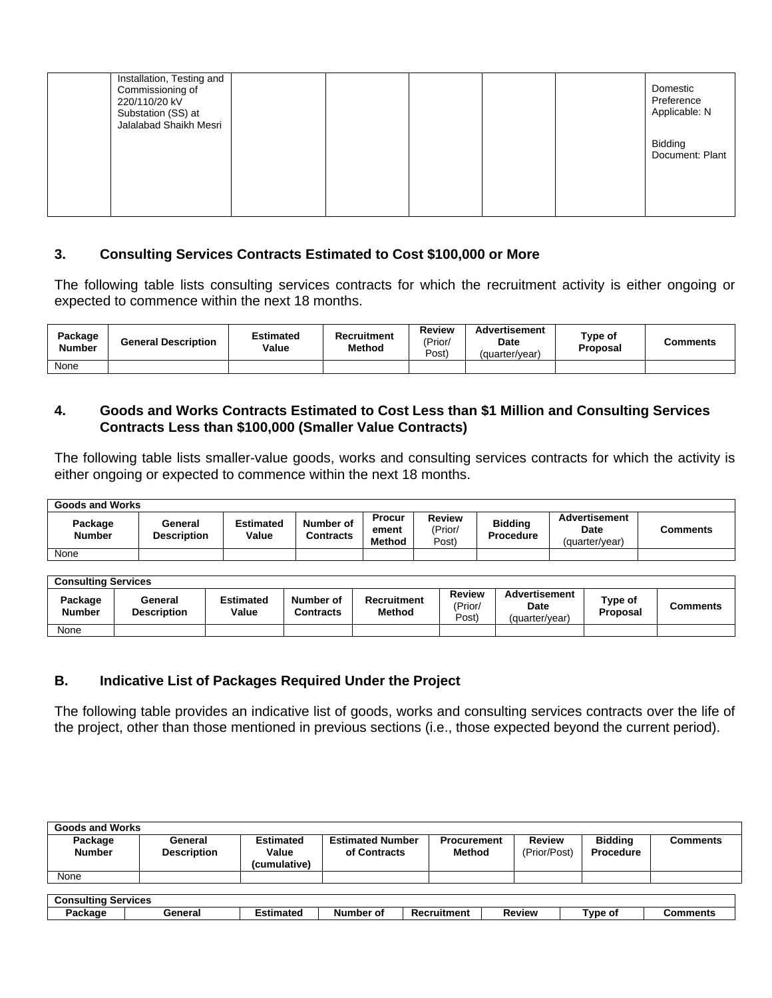| Installation, Testing and<br>Commissioning of<br>220/110/20 kV<br>Substation (SS) at<br>Jalalabad Shaikh Mesri |  |  | Domestic<br>Preference<br>Applicable: N |
|----------------------------------------------------------------------------------------------------------------|--|--|-----------------------------------------|
|                                                                                                                |  |  | <b>Bidding</b><br>Document: Plant       |
|                                                                                                                |  |  |                                         |

#### **3. Consulting Services Contracts Estimated to Cost \$100,000 or More**

The following table lists consulting services contracts for which the recruitment activity is either ongoing or expected to commence within the next 18 months.

| Package<br><b>Number</b> | <b>General Description</b> | Estimated<br>Value | Recruitment<br>Method | <b>Review</b><br>'Prior<br>Post <sup>'</sup> | <b>Advertisement</b><br>Date<br>(quarter/vear) | $\tau$ ype of<br>Proposal | Comments |
|--------------------------|----------------------------|--------------------|-----------------------|----------------------------------------------|------------------------------------------------|---------------------------|----------|
| None                     |                            |                    |                       |                                              |                                                |                           |          |

### **4. Goods and Works Contracts Estimated to Cost Less than \$1 Million and Consulting Services Contracts Less than \$100,000 (Smaller Value Contracts)**

The following table lists smaller-value goods, works and consulting services contracts for which the activity is either ongoing or expected to commence within the next 18 months.

| <b>Goods and Works</b>   |                               |                    |                        |                                  |                            |                             |                                                |          |  |  |  |
|--------------------------|-------------------------------|--------------------|------------------------|----------------------------------|----------------------------|-----------------------------|------------------------------------------------|----------|--|--|--|
| Package<br><b>Number</b> | General<br><b>Description</b> | Estimated<br>Value | Number of<br>Contracts | Procur<br>ement<br><b>Method</b> | Review<br>'Prior/<br>Post) | <b>Bidding</b><br>Procedure | <b>Advertisement</b><br>Date<br>(quarter/year) | Comments |  |  |  |
| None                     |                               |                    |                        |                                  |                            |                             |                                                |          |  |  |  |

| <b>Consulting Services</b> |                               |                           |                               |                              |                                   |                                         |                            |          |  |  |  |
|----------------------------|-------------------------------|---------------------------|-------------------------------|------------------------------|-----------------------------------|-----------------------------------------|----------------------------|----------|--|--|--|
| Package<br><b>Number</b>   | General<br><b>Description</b> | <b>Estimated</b><br>Value | Number of<br><b>Contracts</b> | Recruitment<br><b>Method</b> | <b>Review</b><br>(Prior/<br>Post) | Advertisement<br>Date<br>(guarter/vear) | Type of<br><b>Proposal</b> | Comments |  |  |  |
| None                       |                               |                           |                               |                              |                                   |                                         |                            |          |  |  |  |

## **B. Indicative List of Packages Required Under the Project**

The following table provides an indicative list of goods, works and consulting services contracts over the life of the project, other than those mentioned in previous sections (i.e., those expected beyond the current period).

| <b>Goods and Works</b>     |                               |                           |                                         |                              |                               |                             |                 |  |  |  |
|----------------------------|-------------------------------|---------------------------|-----------------------------------------|------------------------------|-------------------------------|-----------------------------|-----------------|--|--|--|
| Package<br><b>Number</b>   | General<br><b>Description</b> | <b>Estimated</b><br>Value | <b>Estimated Number</b><br>of Contracts | <b>Procurement</b><br>Method | <b>Review</b><br>(Prior/Post) | <b>Biddina</b><br>Procedure | <b>Comments</b> |  |  |  |
|                            |                               | (cumulative)              |                                         |                              |                               |                             |                 |  |  |  |
| None                       |                               |                           |                                         |                              |                               |                             |                 |  |  |  |
|                            |                               |                           |                                         |                              |                               |                             |                 |  |  |  |
| <b>Consulting Services</b> |                               |                           |                                         |                              |                               |                             |                 |  |  |  |
| Package                    | General                       | <b>Estimated</b>          | Number of                               | Recruitment                  | <b>Review</b>                 | Type of                     | Comments        |  |  |  |